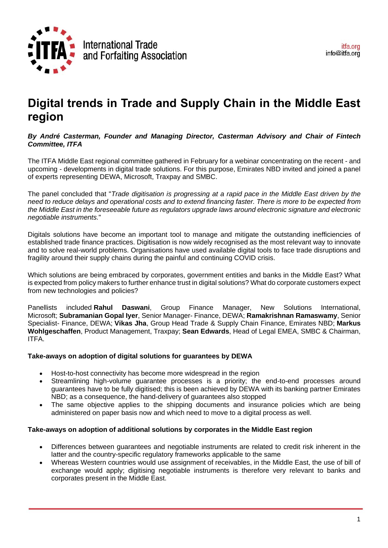

# **Digital trends in Trade and Supply Chain in the Middle East region**

# *By André Casterman, Founder and Managing Director, Casterman Advisory and Chair of Fintech Committee, ITFA*

The ITFA Middle East regional committee gathered in February for a webinar concentrating on the recent - and upcoming - developments in digital trade solutions. For this purpose, Emirates NBD invited and joined a panel of experts representing DEWA, Microsoft, Traxpay and SMBC.

The panel concluded that "*Trade digitisation is progressing at a rapid pace in the Middle East driven by the* need to reduce delays and operational costs and to extend financing faster. There is more to be expected from *the Middle East in the foreseeable future as regulators upgrade laws around electronic signature and electronic negotiable instruments.*"

Digitals solutions have become an important tool to manage and mitigate the outstanding inefficiencies of established trade finance practices. Digitisation is now widely recognised as the most relevant way to innovate and to solve real-world problems. Organisations have used available digital tools to face trade disruptions and fragility around their supply chains during the painful and continuing COVID crisis.

Which solutions are being embraced by corporates, government entities and banks in the Middle East? What is expected from policy makers to further enhance trust in digital solutions? What do corporate customers expect from new technologies and policies?

Panellists included **Rahul Daswani**, Group Finance Manager, New Solutions International, Microsoft; **Subramanian Gopal Iyer**, Senior Manager- Finance, DEWA; **Ramakrishnan Ramaswamy**, Senior Specialist- Finance, DEWA; **Vikas Jha**, Group Head Trade & Supply Chain Finance, Emirates NBD; **Markus Wohlgeschaffen**, Product Management, Traxpay; **Sean Edwards**, Head of Legal EMEA, SMBC & Chairman, ITFA.

# **Take-aways on adoption of digital solutions for guarantees by DEWA**

- Host-to-host connectivity has become more widespread in the region
- Streamlining high-volume guarantee processes is a priority; the end-to-end processes around guarantees have to be fully digitised; this is been achieved by DEWA with its banking partner Emirates NBD; as a consequence, the hand-delivery of guarantees also stopped
- The same objective applies to the shipping documents and insurance policies which are being administered on paper basis now and which need to move to a digital process as well.

# **Take-aways on adoption of additional solutions by corporates in the Middle East region**

- Differences between guarantees and negotiable instruments are related to credit risk inherent in the latter and the country-specific regulatory frameworks applicable to the same
- Whereas Western countries would use assignment of receivables, in the Middle East, the use of bill of exchange would apply; digitising negotiable instruments is therefore very relevant to banks and corporates present in the Middle East.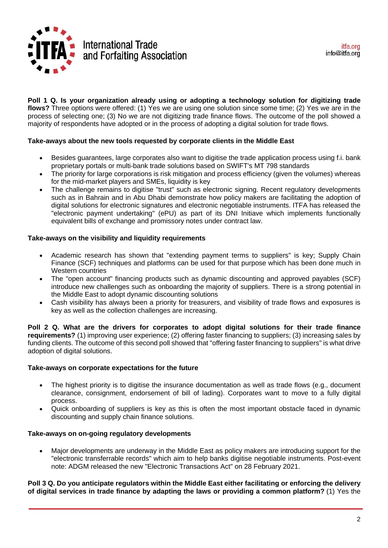

**Poll 1 Q. Is your organization already using or adopting a technology solution for digitizing trade flows?** Three options were offered: (1) Yes we are using one solution since some time; (2) Yes we are in the process of selecting one; (3) No we are not digitizing trade finance flows. The outcome of the poll showed a majority of respondents have adopted or in the process of adopting a digital solution for trade flows.

#### **Take-aways about the new tools requested by corporate clients in the Middle East**

- Besides guarantees, large corporates also want to digitise the trade application process using f.i. bank proprietary portals or multi-bank trade solutions based on SWIFT's MT 798 standards
- The priority for large corporations is risk mitigation and process efficiency (given the volumes) whereas for the mid-market players and SMEs, liquidity is key
- The challenge remains to digitise "trust" such as electronic signing. Recent regulatory developments such as in Bahrain and in Abu Dhabi demonstrate how policy makers are facilitating the adoption of digital solutions for electronic signatures and electronic negotiable instruments. ITFA has released the "electronic payment undertaking" (ePU) as part of its DNI Initiave which implements functionally equivalent bills of exchange and promissory notes under contract law.

#### **Take-aways on the visibility and liquidity requirements**

- Academic research has shown that "extending payment terms to suppliers" is key; Supply Chain Finance (SCF) techniques and platforms can be used for that purpose which has been done much in Western countries
- The "open account" financing products such as dynamic discounting and approved payables (SCF) introduce new challenges such as onboarding the majority of suppliers. There is a strong potential in the Middle East to adopt dynamic discounting solutions
- Cash visibility has always been a priority for treasurers, and visibility of trade flows and exposures is key as well as the collection challenges are increasing.

**Poll 2 Q. What are the drivers for corporates to adopt digital solutions for their trade finance requirements?** (1) improving user experience; (2) offering faster financing to suppliers; (3) increasing sales by funding clients. The outcome of this second poll showed that "offering faster financing to suppliers" is what drive adoption of digital solutions.

#### **Take-aways on corporate expectations for the future**

- The highest priority is to digitise the insurance documentation as well as trade flows (e.g., document clearance, consignment, endorsement of bill of lading). Corporates want to move to a fully digital process.
- Quick onboarding of suppliers is key as this is often the most important obstacle faced in dynamic discounting and supply chain finance solutions.

#### **Take-aways on on-going regulatory developments**

• Major developments are underway in the Middle East as policy makers are introducing support for the "electronic transferrable records" which aim to help banks digitise negotiable instruments. Post-event note: ADGM released the new "Electronic Transactions Act" on 28 February 2021.

#### Poll 3 Q. Do you anticipate regulators within the Middle East either facilitating or enforcing the delivery **of digital services in trade finance by adapting the laws or providing a common platform?** (1) Yes the